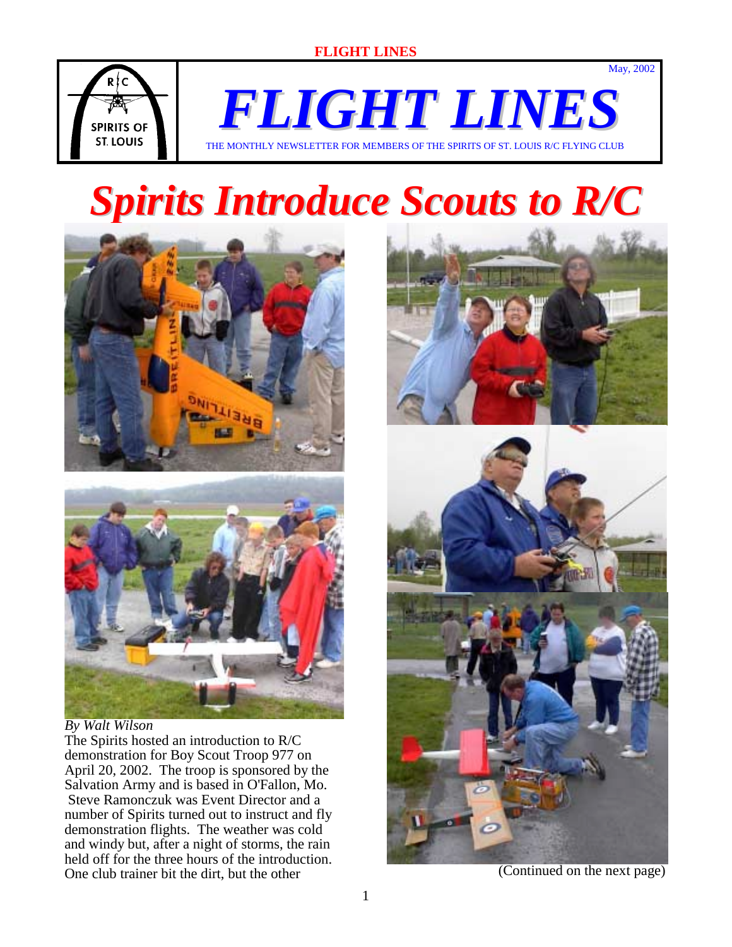

*FLIGHT LINES* THE MONTHLY NEWSLETTER FOR MEMBERS OF THE SPIRITS OF ST. LOUIS R/C FLYING CLUB

# *Spirits Introduce Scouts to R/C*



#### *By Walt Wilson*

The Spirits hosted an introduction to R/C demonstration for Boy Scout Troop 977 on April 20, 2002. The troop is sponsored by the Salvation Army and is based in O'Fallon, Mo. Steve Ramonczuk was Event Director and a number of Spirits turned out to instruct and fly demonstration flights. The weather was cold and windy but, after a night of storms, the rain held off for the three hours of the introduction. One club trainer bit the dirt, but the other



May, 2002



(Continued on the next page)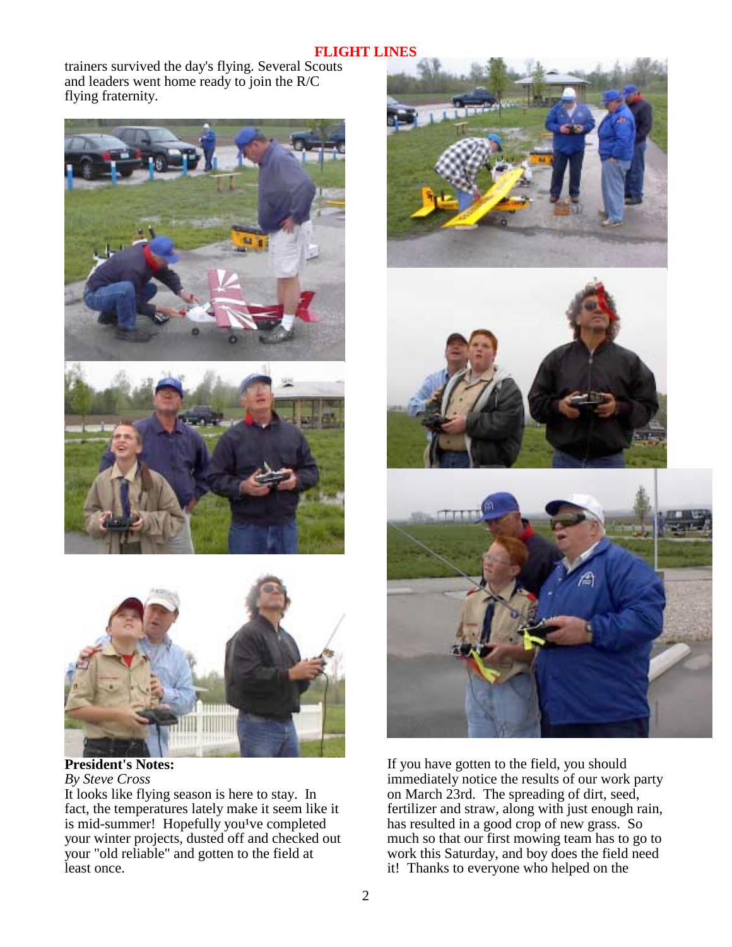trainers survived the day's flying. Several Scouts and leaders went home ready to join the R/C flying fraternity.





**President's Notes:**  *By Steve Cross* 

It looks like flying season is here to stay. In fact, the temperatures lately make it seem like it is mid-summer! Hopefully you<sup>1</sup>ve completed your winter projects, dusted off and checked out your "old reliable" and gotten to the field at least once.



If you have gotten to the field, you should immediately notice the results of our work party on March 23rd. The spreading of dirt, seed, fertilizer and straw, along with just enough rain, has resulted in a good crop of new grass. So much so that our first mowing team has to go to work this Saturday, and boy does the field need it! Thanks to everyone who helped on the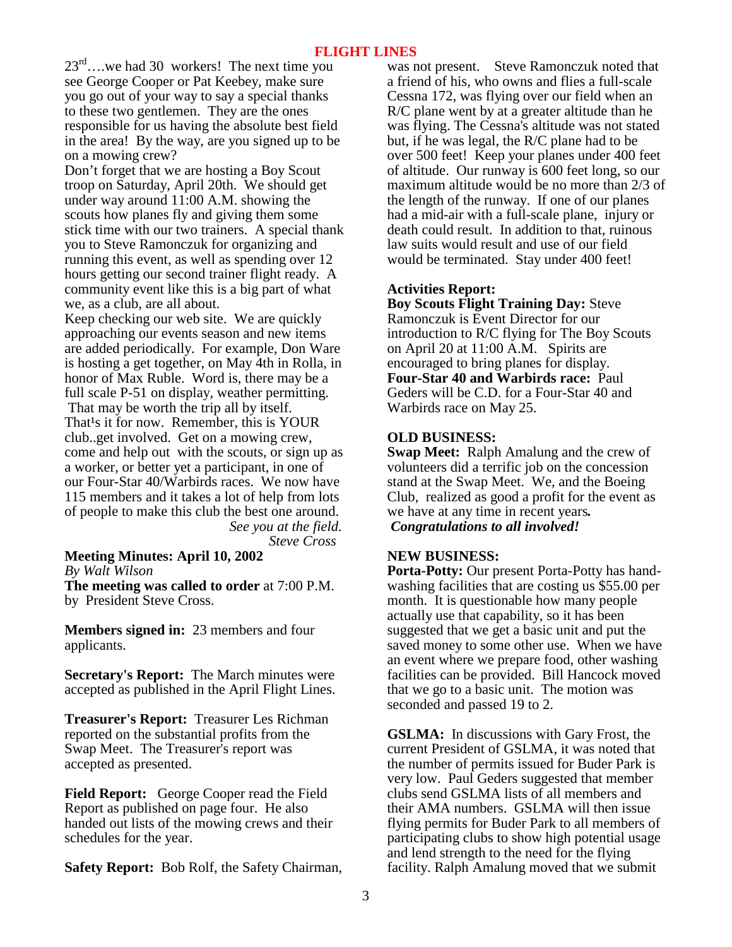$23^{\text{rd}}$ ….we had 30 workers! The next time you see George Cooper or Pat Keebey, make sure you go out of your way to say a special thanks to these two gentlemen. They are the ones responsible for us having the absolute best field in the area! By the way, are you signed up to be on a mowing crew?

Don't forget that we are hosting a Boy Scout troop on Saturday, April 20th. We should get under way around 11:00 A.M. showing the scouts how planes fly and giving them some stick time with our two trainers. A special thank you to Steve Ramonczuk for organizing and running this event, as well as spending over 12 hours getting our second trainer flight ready. A community event like this is a big part of what we, as a club, are all about.

Keep checking our web site. We are quickly approaching our events season and new items are added periodically. For example, Don Ware is hosting a get together, on May 4th in Rolla, in honor of Max Ruble. Word is, there may be a full scale P-51 on display, weather permitting. That may be worth the trip all by itself. That<sup>1</sup>s it for now. Remember, this is YOUR club..get involved. Get on a mowing crew, come and help out with the scouts, or sign up as a worker, or better yet a participant, in one of our Four-Star 40/Warbirds races. We now have 115 members and it takes a lot of help from lots of people to make this club the best one around. *See you at the field.* 

 *Steve Cross*

**Meeting Minutes: April 10, 2002** *By Walt Wilson* 

**The meeting was called to order** at 7:00 P.M. by President Steve Cross.

**Members signed in:** 23 members and four applicants.

**Secretary's Report:** The March minutes were accepted as published in the April Flight Lines.

**Treasurer's Report:** Treasurer Les Richman reported on the substantial profits from the Swap Meet. The Treasurer's report was accepted as presented.

**Field Report:** George Cooper read the Field Report as published on page four. He also handed out lists of the mowing crews and their schedules for the year.

**Safety Report:** Bob Rolf, the Safety Chairman,

was not present. Steve Ramonczuk noted that a friend of his, who owns and flies a full-scale Cessna 172, was flying over our field when an R/C plane went by at a greater altitude than he was flying. The Cessna's altitude was not stated but, if he was legal, the R/C plane had to be over 500 feet! Keep your planes under 400 feet of altitude. Our runway is 600 feet long, so our maximum altitude would be no more than 2/3 of the length of the runway. If one of our planes had a mid-air with a full-scale plane, injury or death could result. In addition to that, ruinous law suits would result and use of our field would be terminated. Stay under 400 feet!

## **Activities Report:**

**Boy Scouts Flight Training Day:** Steve Ramonczuk is Event Director for our introduction to R/C flying for The Boy Scouts on April 20 at 11:00 A.M. Spirits are encouraged to bring planes for display. **Four-Star 40 and Warbirds race:** Paul Geders will be C.D. for a Four-Star 40 and Warbirds race on May 25.

## **OLD BUSINESS:**

**Swap Meet:** Ralph Amalung and the crew of volunteers did a terrific job on the concession stand at the Swap Meet. We, and the Boeing Club, realized as good a profit for the event as we have at any time in recent years*. Congratulations to all involved!*

#### **NEW BUSINESS:**

**Porta-Potty:** Our present Porta-Potty has handwashing facilities that are costing us \$55.00 per month. It is questionable how many people actually use that capability, so it has been suggested that we get a basic unit and put the saved money to some other use. When we have an event where we prepare food, other washing facilities can be provided. Bill Hancock moved that we go to a basic unit. The motion was seconded and passed 19 to 2.

**GSLMA:** In discussions with Gary Frost, the current President of GSLMA, it was noted that the number of permits issued for Buder Park is very low. Paul Geders suggested that member clubs send GSLMA lists of all members and their AMA numbers. GSLMA will then issue flying permits for Buder Park to all members of participating clubs to show high potential usage and lend strength to the need for the flying facility. Ralph Amalung moved that we submit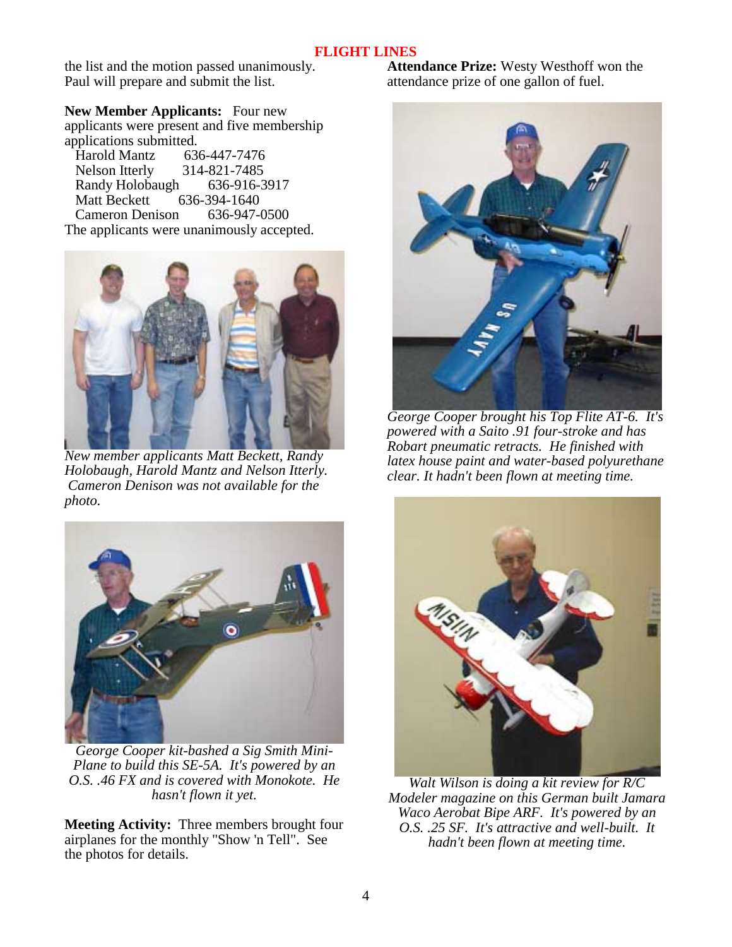the list and the motion passed unanimously. Paul will prepare and submit the list.

**New Member Applicants:** Four new applicants were present and five membership applications submitted.

 Harold Mantz 636-447-7476 Nelson Itterly 314-821-7485<br>Randy Holobaugh 636-916-3917 Randy Holobaugh Matt Beckett 636-394-1640 Cameron Denison 636-947-0500 The applicants were unanimously accepted.



*New member applicants Matt Beckett, Randy Holobaugh, Harold Mantz and Nelson Itterly. Cameron Denison was not available for the photo.* 



*George Cooper kit-bashed a Sig Smith Mini-Plane to build this SE-5A. It's powered by an O.S. .46 FX and is covered with Monokote. He hasn't flown it yet.* 

**Meeting Activity:** Three members brought four airplanes for the monthly "Show 'n Tell". See the photos for details.

**Attendance Prize:** Westy Westhoff won the attendance prize of one gallon of fuel.



*George Cooper brought his Top Flite AT-6. It's powered with a Saito .91 four-stroke and has Robart pneumatic retracts. He finished with latex house paint and water-based polyurethane clear. It hadn't been flown at meeting time.* 



*Walt Wilson is doing a kit review for R/C Modeler magazine on this German built Jamara Waco Aerobat Bipe ARF. It's powered by an O.S. .25 SF. It's attractive and well-built. It hadn't been flown at meeting time.*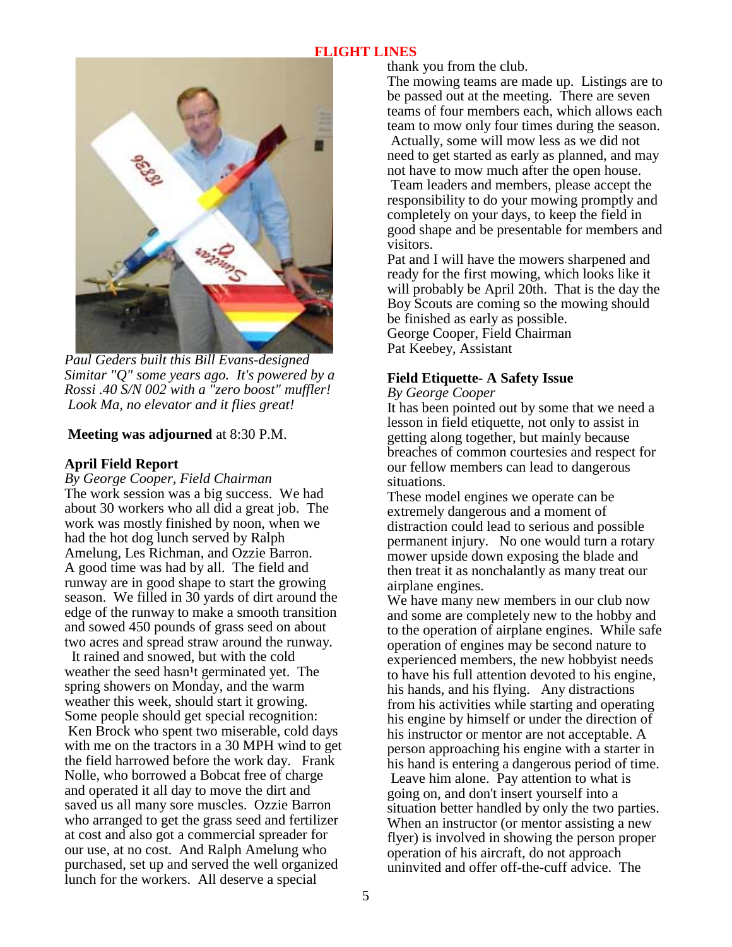

*Paul Geders built this Bill Evans-designed Simitar "Q" some years ago. It's powered by a Rossi .40 S/N 002 with a "zero boost" muffler! Look Ma, no elevator and it flies great!* 

## **Meeting was adjourned** at 8:30 P.M.

## **April Field Report**

*By George Cooper, Field Chairman* The work session was a big success. We had about 30 workers who all did a great job. The work was mostly finished by noon, when we had the hot dog lunch served by Ralph Amelung, Les Richman, and Ozzie Barron. A good time was had by all. The field and runway are in good shape to start the growing season. We filled in 30 yards of dirt around the edge of the runway to make a smooth transition and sowed 450 pounds of grass seed on about two acres and spread straw around the runway.

 It rained and snowed, but with the cold weather the seed hasn<sup>1</sup>t germinated yet. The spring showers on Monday, and the warm weather this week, should start it growing. Some people should get special recognition: Ken Brock who spent two miserable, cold days with me on the tractors in a 30 MPH wind to get the field harrowed before the work day. Frank Nolle, who borrowed a Bobcat free of charge and operated it all day to move the dirt and saved us all many sore muscles. Ozzie Barron who arranged to get the grass seed and fertilizer at cost and also got a commercial spreader for our use, at no cost. And Ralph Amelung who purchased, set up and served the well organized lunch for the workers. All deserve a special

thank you from the club.

The mowing teams are made up. Listings are to be passed out at the meeting. There are seven teams of four members each, which allows each team to mow only four times during the season. Actually, some will mow less as we did not need to get started as early as planned, and may not have to mow much after the open house.

 Team leaders and members, please accept the responsibility to do your mowing promptly and completely on your days, to keep the field in good shape and be presentable for members and visitors.

Pat and I will have the mowers sharpened and ready for the first mowing, which looks like it will probably be April 20th. That is the day the Boy Scouts are coming so the mowing should be finished as early as possible. George Cooper, Field Chairman Pat Keebey, Assistant

## **Field Etiquette- A Safety Issue**

#### *By George Cooper*

It has been pointed out by some that we need a lesson in field etiquette, not only to assist in getting along together, but mainly because breaches of common courtesies and respect for our fellow members can lead to dangerous situations.

These model engines we operate can be extremely dangerous and a moment of distraction could lead to serious and possible permanent injury. No one would turn a rotary mower upside down exposing the blade and then treat it as nonchalantly as many treat our airplane engines.

We have many new members in our club now and some are completely new to the hobby and to the operation of airplane engines. While safe operation of engines may be second nature to experienced members, the new hobbyist needs to have his full attention devoted to his engine, his hands, and his flying. Any distractions from his activities while starting and operating his engine by himself or under the direction of his instructor or mentor are not acceptable. A person approaching his engine with a starter in his hand is entering a dangerous period of time. Leave him alone. Pay attention to what is going on, and don't insert yourself into a situation better handled by only the two parties. When an instructor (or mentor assisting a new flyer) is involved in showing the person proper operation of his aircraft, do not approach uninvited and offer off-the-cuff advice. The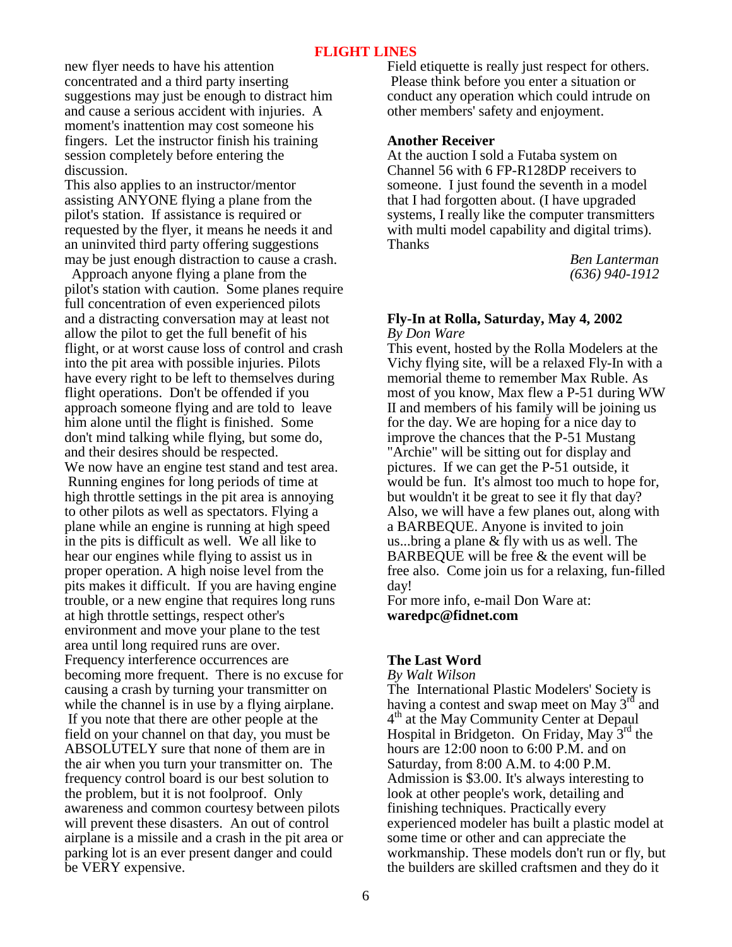new flyer needs to have his attention concentrated and a third party inserting suggestions may just be enough to distract him and cause a serious accident with injuries. A moment's inattention may cost someone his fingers. Let the instructor finish his training session completely before entering the discussion.

This also applies to an instructor/mentor assisting ANYONE flying a plane from the pilot's station. If assistance is required or requested by the flyer, it means he needs it and an uninvited third party offering suggestions may be just enough distraction to cause a crash.

 Approach anyone flying a plane from the pilot's station with caution. Some planes require full concentration of even experienced pilots and a distracting conversation may at least not allow the pilot to get the full benefit of his flight, or at worst cause loss of control and crash into the pit area with possible injuries. Pilots have every right to be left to themselves during flight operations. Don't be offended if you approach someone flying and are told to leave him alone until the flight is finished. Some don't mind talking while flying, but some do, and their desires should be respected. We now have an engine test stand and test area. Running engines for long periods of time at high throttle settings in the pit area is annoying to other pilots as well as spectators. Flying a plane while an engine is running at high speed in the pits is difficult as well. We all like to hear our engines while flying to assist us in proper operation. A high noise level from the pits makes it difficult. If you are having engine trouble, or a new engine that requires long runs at high throttle settings, respect other's environment and move your plane to the test area until long required runs are over. Frequency interference occurrences are becoming more frequent. There is no excuse for causing a crash by turning your transmitter on while the channel is in use by a flying airplane. If you note that there are other people at the field on your channel on that day, you must be ABSOLUTELY sure that none of them are in the air when you turn your transmitter on. The frequency control board is our best solution to the problem, but it is not foolproof. Only awareness and common courtesy between pilots will prevent these disasters. An out of control airplane is a missile and a crash in the pit area or parking lot is an ever present danger and could be VERY expensive.

Field etiquette is really just respect for others. Please think before you enter a situation or conduct any operation which could intrude on other members' safety and enjoyment.

#### **Another Receiver**

At the auction I sold a Futaba system on Channel 56 with 6 FP-R128DP receivers to someone. I just found the seventh in a model that I had forgotten about. (I have upgraded systems, I really like the computer transmitters with multi model capability and digital trims). Thanks

 *Ben Lanterman (636) 940-1912*

#### **Fly-In at Rolla, Saturday, May 4, 2002**  *By Don Ware*

This event, hosted by the Rolla Modelers at the Vichy flying site, will be a relaxed Fly-In with a memorial theme to remember Max Ruble. As most of you know, Max flew a P-51 during WW II and members of his family will be joining us for the day. We are hoping for a nice day to improve the chances that the P-51 Mustang "Archie" will be sitting out for display and pictures. If we can get the P-51 outside, it would be fun. It's almost too much to hope for, but wouldn't it be great to see it fly that day? Also, we will have a few planes out, along with a BARBEQUE. Anyone is invited to join us...bring a plane & fly with us as well. The BARBEQUE will be free & the event will be free also. Come join us for a relaxing, fun-filled day!

For more info, e-mail Don Ware at: **waredpc@fidnet.com**

## **The Last Word**

#### *By Walt Wilson*

The International Plastic Modelers' Society is having a contest and swap meet on May  $3<sup>rd</sup>$  and <sup>4th</sup> at the May Community Center at Depaul Hospital in Bridgeton. On Friday, May  $3<sup>rd</sup>$  the hours are 12:00 noon to 6:00 P.M. and on Saturday, from 8:00 A.M. to 4:00 P.M. Admission is \$3.00. It's always interesting to look at other people's work, detailing and finishing techniques. Practically every experienced modeler has built a plastic model at some time or other and can appreciate the workmanship. These models don't run or fly, but the builders are skilled craftsmen and they do it